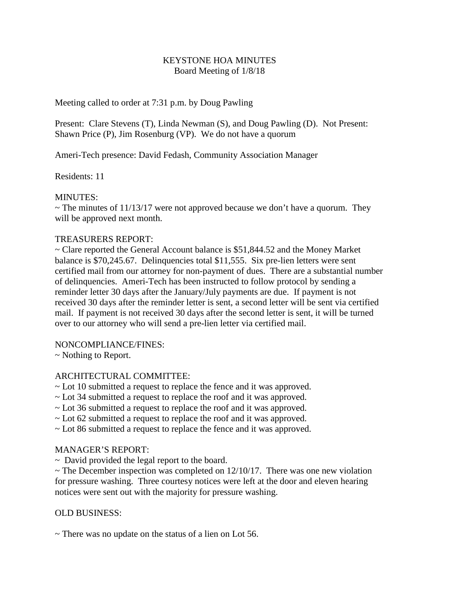# KEYSTONE HOA MINUTES Board Meeting of 1/8/18

Meeting called to order at 7:31 p.m. by Doug Pawling

Present: Clare Stevens (T), Linda Newman (S), and Doug Pawling (D). Not Present: Shawn Price (P), Jim Rosenburg (VP). We do not have a quorum

Ameri-Tech presence: David Fedash, Community Association Manager

Residents: 11

# MINUTES:

 $\sim$  The minutes of 11/13/17 were not approved because we don't have a quorum. They will be approved next month.

# TREASURERS REPORT:

 $\sim$  Clare reported the General Account balance is \$51,844.52 and the Money Market balance is \$70,245.67. Delinquencies total \$11,555. Six pre-lien letters were sent certified mail from our attorney for non-payment of dues. There are a substantial number of delinquencies. Ameri-Tech has been instructed to follow protocol by sending a reminder letter 30 days after the January/July payments are due. If payment is not received 30 days after the reminder letter is sent, a second letter will be sent via certified mail. If payment is not received 30 days after the second letter is sent, it will be turned over to our attorney who will send a pre-lien letter via certified mail.

### NONCOMPLIANCE/FINES:

~ Nothing to Report.

### ARCHITECTURAL COMMITTEE:

- ~ Lot 10 submitted a request to replace the fence and it was approved.
- ~ Lot 34 submitted a request to replace the roof and it was approved.
- ~ Lot 36 submitted a request to replace the roof and it was approved.
- ~ Lot 62 submitted a request to replace the roof and it was approved.
- ~ Lot 86 submitted a request to replace the fence and it was approved.

### MANAGER'S REPORT:

 $\sim$  David provided the legal report to the board.

 $\sim$  The December inspection was completed on 12/10/17. There was one new violation for pressure washing. Three courtesy notices were left at the door and eleven hearing notices were sent out with the majority for pressure washing.

### OLD BUSINESS:

 $\sim$  There was no update on the status of a lien on Lot 56.